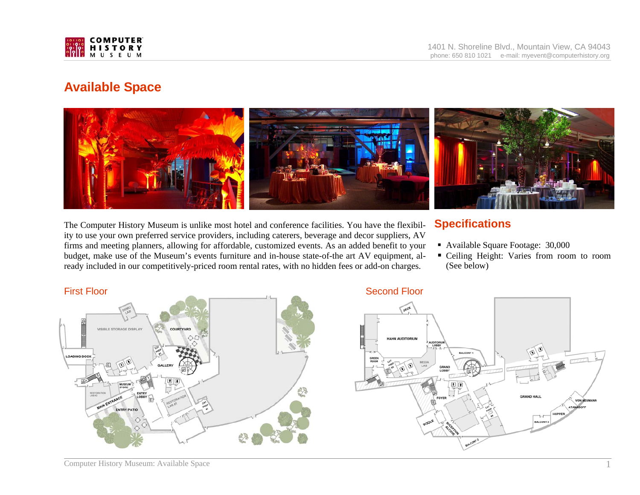

# **Available Space**



The Computer History Museum is unlike most hotel and conference facilities. You have the flexibility to use your own preferred service providers, including caterers, beverage and decor suppliers, AV firms and meeting planners, allowing for affordable, customized events. As an added benefit to your budget, make use of the Museum's events furniture and in-house state-of-the art AV equipment, already included in our competitively-priced room rental rates, with no hidden fees or add-on charges.

#### **Specifications**

- Available Square Footage: 30,000
- Ceiling Height: Varies from room to room (See below)



#### First Floor **Second Floor** Second Floor

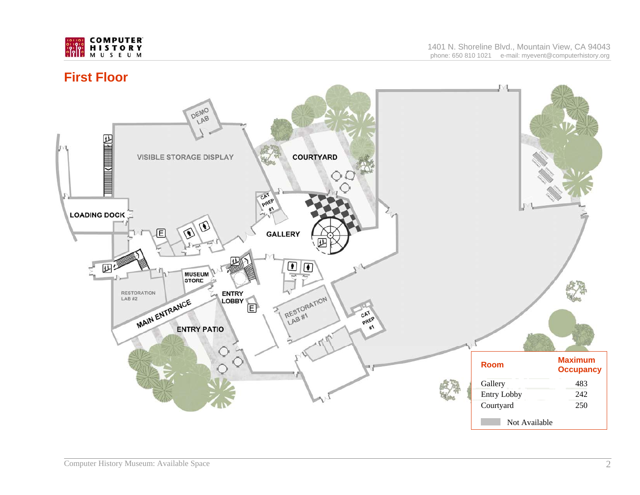

## **First Floor**

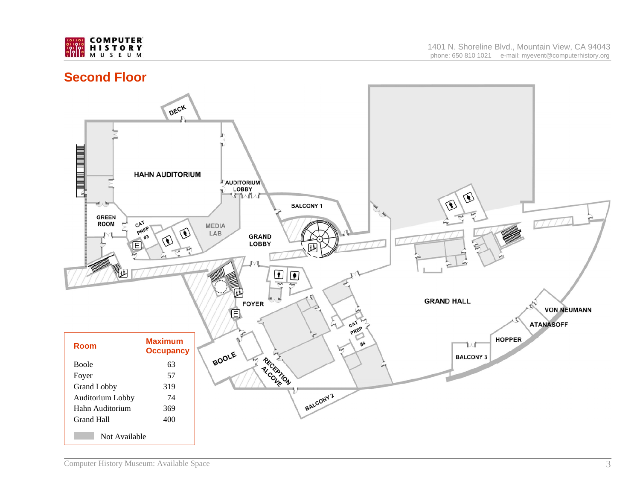

## **Second Floor**

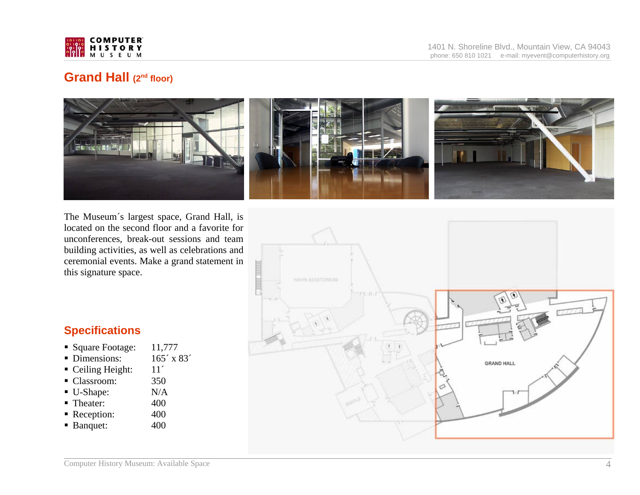

# Grand Hall (2<sup>nd</sup> floor)



The Museum´s largest space, Grand Hall, is located on the second floor and a favorite for unconferences, break-out sessions and team building activities, as well as celebrations and ceremonial events. Make a grand statement in this signature space.



- Square Footage: 11,777
- $\blacksquare$  Dimensions:  $165' \times 83'$
- Ceiling Height: 11<sup>1</sup>
- Classroom: 350
- U-Shape: N/A
- Theater: 400
- Reception: 400
- Banquet: 400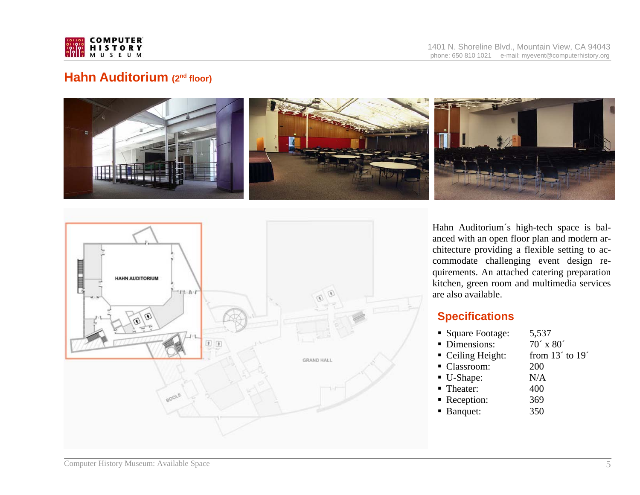

## **Hahn Auditorium (2nd floor)**





Hahn Auditorium´s high-tech space is balanced with an open floor plan and modern architecture providing a flexible setting to accommodate challenging event design requirements. An attached catering preparation kitchen, green room and multimedia services are also available.

| • Square Footage: | 5,537               |
|-------------------|---------------------|
| • Dimensions:     | $70'$ x $80'$       |
| • Ceiling Height: | from $13'$ to $19'$ |
| Classroom:        | 200                 |
| ■ U-Shape:        | N/A                 |
| • Theater:        | 400                 |
| Reception:        | 369                 |
| ■ Banquet:        | 350                 |
|                   |                     |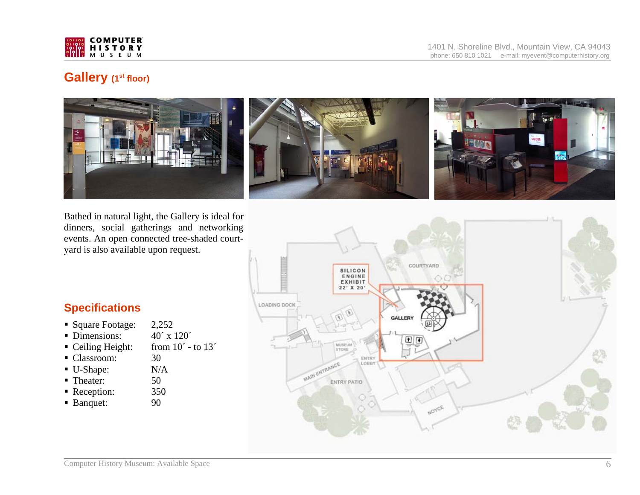

# Gallery (1<sup>st</sup> floor)



Bathed in natural light, the Gallery is ideal for dinners, social gatherings and networking events. An open connected tree-shaded courtyard is also available upon request.

- Square Footage: 2,252
- $\blacksquare$  Dimensions:  $40^\circ \times 120^\circ$
- Ceiling Height: from 10´ to 13´
- Classroom: 30
- U-Shape: N/A
- Theater: 50
- Reception: 350
- **Banquet:** 90